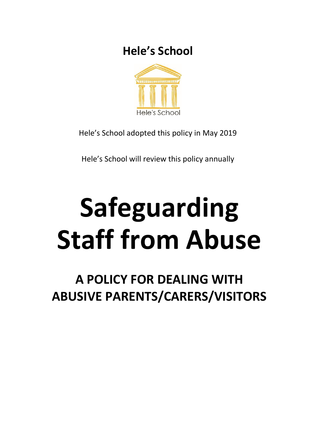

Hele's School adopted this policy in May 2019

Hele's School will review this policy annually

# **Safeguarding Staff from Abuse**

**A POLICY FOR DEALING WITH ABUSIVE PARENTS/CARERS/VISITORS**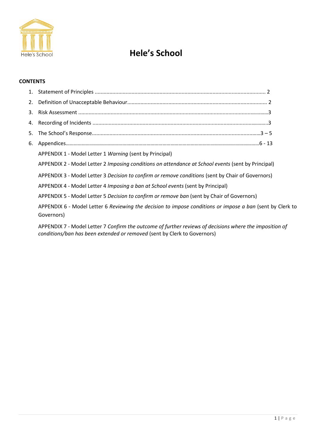

### **CONTENTS**

| 5. |                                                                                                                         |
|----|-------------------------------------------------------------------------------------------------------------------------|
| 6. |                                                                                                                         |
|    | APPENDIX 1 - Model Letter 1 Warning (sent by Principal)                                                                 |
|    | APPENDIX 2 - Model Letter 2 Imposing conditions on attendance at School events (sent by Principal)                      |
|    | APPENDIX 3 - Model Letter 3 Decision to confirm or remove conditions (sent by Chair of Governors)                       |
|    | APPENDIX 4 - Model Letter 4 Imposing a ban at School events (sent by Principal)                                         |
|    | APPENDIX 5 - Model Letter 5 Decision to confirm or remove ban (sent by Chair of Governors)                              |
|    | APPENDIX 6 - Model Letter 6 Reviewing the decision to impose conditions or impose a ban (sent by Clerk to<br>Governors) |
|    | APPENDIX 7 - Model Letter 7 Confirm the outcome of further reviews of decisions where the imposition of                 |

*conditions/ban has been extended or removed* (sent by Clerk to Governors)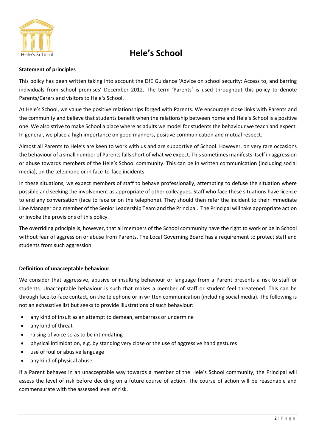

### **Statement of principles**

This policy has been written taking into account the DfE Guidance 'Advice on school security: Access to, and barring individuals from school premises' December 2012. The term 'Parents' is used throughout this policy to denote Parents/Carers and visitors to Hele's School.

At Hele's School, we value the positive relationships forged with Parents. We encourage close links with Parents and the community and believe that students benefit when the relationship between home and Hele's School is a positive one. We also strive to make School a place where as adults we model for students the behaviour we teach and expect. In general, we place a high importance on good manners, positive communication and mutual respect.

Almost all Parents to Hele's are keen to work with us and are supportive of School. However, on very rare occasions the behaviour of a small number of Parents falls short of what we expect. This sometimes manifests itself in aggression or abuse towards members of the Hele's School community. This can be in written communication (including social media), on the telephone or in face-to-face incidents.

In these situations, we expect members of staff to behave professionally, attempting to defuse the situation where possible and seeking the involvement as appropriate of other colleagues. Staff who face these situations have licence to end any conversation (face to face or on the telephone). They should then refer the incident to their immediate Line Manager or a member of the Senior Leadership Team and the Principal. The Principal will take appropriate action or invoke the provisions of this policy.

The overriding principle is, however, that all members of the School community have the right to work or be in School without fear of aggression or abuse from Parents. The Local Governing Board has a requirement to protect staff and students from such aggression.

### **Definition of unacceptable behaviour**

We consider that aggressive, abusive or insulting behaviour or language from a Parent presents a risk to staff or students. Unacceptable behaviour is such that makes a member of staff or student feel threatened. This can be through face-to-face contact, on the telephone or in written communication (including social media). The following is not an exhaustive list but seeks to provide illustrations of such behaviour:

- any kind of insult as an attempt to demean, embarrass or undermine
- any kind of threat
- raising of voice so as to be intimidating
- physical intimidation, e.g. by standing very close or the use of aggressive hand gestures
- use of foul or abusive language
- any kind of physical abuse

If a Parent behaves in an unacceptable way towards a member of the Hele's School community, the Principal will assess the level of risk before deciding on a future course of action. The course of action will be reasonable and commensurate with the assessed level of risk.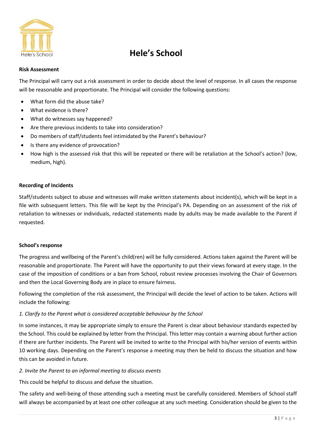

#### **Risk Assessment**

The Principal will carry out a risk assessment in order to decide about the level of response. In all cases the response will be reasonable and proportionate. The Principal will consider the following questions:

- What form did the abuse take?
- What evidence is there?
- What do witnesses say happened?
- Are there previous incidents to take into consideration?
- Do members of staff/students feel intimidated by the Parent's behaviour?
- Is there any evidence of provocation?
- How high is the assessed risk that this will be repeated or there will be retaliation at the School's action? (low, medium, high).

### **Recording of Incidents**

Staff/students subject to abuse and witnesses will make written statements about incident(s), which will be kept in a file with subsequent letters. This file will be kept by the Principal's PA. Depending on an assessment of the risk of retaliation to witnesses or individuals, redacted statements made by adults may be made available to the Parent if requested.

### **School's response**

The progress and wellbeing of the Parent's child(ren) will be fully considered. Actions taken against the Parent will be reasonable and proportionate. The Parent will have the opportunity to put their views forward at every stage. In the case of the imposition of conditions or a ban from School, robust review processes involving the Chair of Governors and then the Local Governing Body are in place to ensure fairness.

Following the completion of the risk assessment, the Principal will decide the level of action to be taken. Actions will include the following:

### *1. Clarify to the Parent what is considered acceptable behaviour by the School*

In some instances, it may be appropriate simply to ensure the Parent is clear about behaviour standards expected by the School. This could be explained by letter from the Principal. This letter may contain a warning about further action if there are further incidents. The Parent will be invited to write to the Principal with his/her version of events within 10 working days. Depending on the Parent's response a meeting may then be held to discuss the situation and how this can be avoided in future.

### *2. Invite the Parent to an informal meeting to discuss events*

This could be helpful to discuss and defuse the situation.

The safety and well-being of those attending such a meeting must be carefully considered. Members of School staff will always be accompanied by at least one other colleague at any such meeting. Consideration should be given to the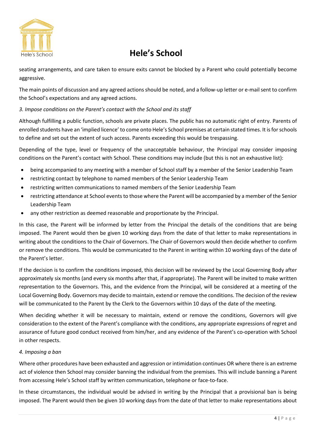

seating arrangements, and care taken to ensure exits cannot be blocked by a Parent who could potentially become aggressive.

The main points of discussion and any agreed actions should be noted, and a follow-up letter or e-mail sent to confirm the School's expectations and any agreed actions.

### *3. Impose conditions on the Parent's contact with the School and its staff*

Although fulfilling a public function, schools are private places. The public has no automatic right of entry. Parents of enrolled students have an 'implied licence' to come onto Hele's School premises at certain stated times. It is for schools to define and set out the extent of such access. Parents exceeding this would be trespassing.

Depending of the type, level or frequency of the unacceptable behaviour, the Principal may consider imposing conditions on the Parent's contact with School. These conditions may include (but this is not an exhaustive list):

- being accompanied to any meeting with a member of School staff by a member of the Senior Leadership Team
- restricting contact by telephone to named members of the Senior Leadership Team
- restricting written communications to named members of the Senior Leadership Team
- restricting attendance at School events to those where the Parent will be accompanied by a member of the Senior Leadership Team
- any other restriction as deemed reasonable and proportionate by the Principal.

In this case, the Parent will be informed by letter from the Principal the details of the conditions that are being imposed. The Parent would then be given 10 working days from the date of that letter to make representations in writing about the conditions to the Chair of Governors. The Chair of Governors would then decide whether to confirm or remove the conditions. This would be communicated to the Parent in writing within 10 working days of the date of the Parent's letter.

If the decision is to confirm the conditions imposed, this decision will be reviewed by the Local Governing Body after approximately six months (and every six months after that, if appropriate). The Parent will be invited to make written representation to the Governors. This, and the evidence from the Principal, will be considered at a meeting of the Local Governing Body. Governors may decide to maintain, extend or remove the conditions. The decision of the review will be communicated to the Parent by the Clerk to the Governors within 10 days of the date of the meeting.

When deciding whether it will be necessary to maintain, extend or remove the conditions, Governors will give consideration to the extent of the Parent's compliance with the conditions, any appropriate expressions of regret and assurance of future good conduct received from him/her, and any evidence of the Parent's co-operation with School in other respects.

### *4. Imposing a ban*

Where other procedures have been exhausted and aggression or intimidation continues OR where there is an extreme act of violence then School may consider banning the individual from the premises. This will include banning a Parent from accessing Hele's School staff by written communication, telephone or face-to-face.

In these circumstances, the individual would be advised in writing by the Principal that a provisional ban is being imposed. The Parent would then be given 10 working days from the date of that letter to make representations about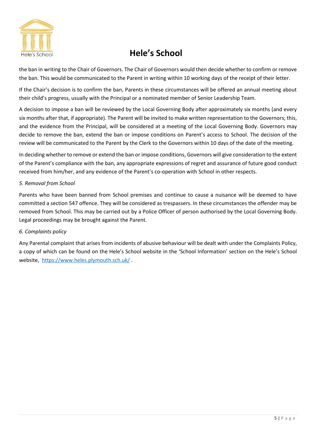

the ban in writing to the Chair of Governors. The Chair of Governors would then decide whether to confirm or remove the ban. This would be communicated to the Parent in writing within 10 working days of the receipt of their letter.

If the Chair's decision is to confirm the ban, Parents in these circumstances will be offered an annual meeting about their child's progress, usually with the Principal or a nominated member of Senior Leadership Team.

A decision to impose a ban will be reviewed by the Local Governing Body after approximately six months (and every six months after that, if appropriate). The Parent will be invited to make written representation to the Governors; this, and the evidence from the Principal, will be considered at a meeting of the Local Governing Body. Governors may decide to remove the ban, extend the ban or impose conditions on Parent's access to School. The decision of the review will be communicated to the Parent by the Clerk to the Governors within 10 days of the date of the meeting.

In deciding whether to remove or extend the ban or impose conditions, Governors will give consideration to the extent of the Parent's compliance with the ban, any appropriate expressions of regret and assurance of future good conduct received from him/her, and any evidence of the Parent's co-operation with School in other respects.

### *5. Removal from School*

Parents who have been banned from School premises and continue to cause a nuisance will be deemed to have committed a section 547 offence. They will be considered as trespassers. In these circumstances the offender may be removed from School. This may be carried out by a Police Officer of person authorised by the Local Governing Body. Legal proceedings may be brought against the Parent.

### *6. Complaints policy*

Any Parental complaint that arises from incidents of abusive behaviour will be dealt with under the Complaints Policy, a copy of which can be found on the Hele's School website in the 'School Information' section on the Hele's School website, <https://www.heles.plymouth.sch.uk/> .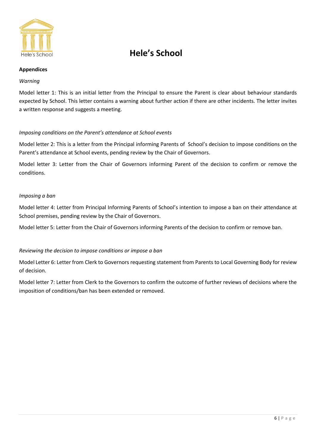

#### **Appendices**

#### *Warning*

Model letter 1: This is an initial letter from the Principal to ensure the Parent is clear about behaviour standards expected by School. This letter contains a warning about further action if there are other incidents. The letter invites a written response and suggests a meeting.

### *Imposing conditions on the Parent's attendance at School events*

Model letter 2: This is a letter from the Principal informing Parents of School's decision to impose conditions on the Parent's attendance at School events, pending review by the Chair of Governors.

Model letter 3: Letter from the Chair of Governors informing Parent of the decision to confirm or remove the conditions.

### *Imposing a ban*

Model letter 4: Letter from Principal Informing Parents of School's intention to impose a ban on their attendance at School premises, pending review by the Chair of Governors.

Model letter 5: Letter from the Chair of Governors informing Parents of the decision to confirm or remove ban.

### *Reviewing the decision to impose conditions or impose a ban*

Model Letter 6: Letter from Clerk to Governors requesting statement from Parents to Local Governing Body for review of decision.

Model letter 7: Letter from Clerk to the Governors to confirm the outcome of further reviews of decisions where the imposition of conditions/ban has been extended or removed.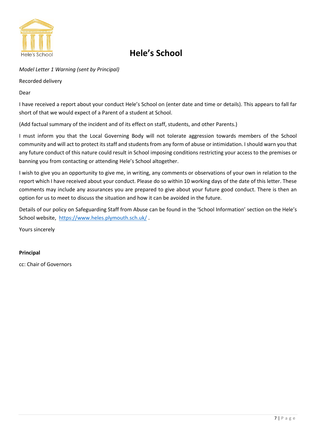

*Model Letter 1 Warning (sent by Principal)* 

Recorded delivery

Dear

I have received a report about your conduct Hele's School on (enter date and time or details). This appears to fall far short of that we would expect of a Parent of a student at School.

(Add factual summary of the incident and of its effect on staff, students, and other Parents.)

I must inform you that the Local Governing Body will not tolerate aggression towards members of the School community and will act to protect its staff and students from any form of abuse or intimidation. I should warn you that any future conduct of this nature could result in School imposing conditions restricting your access to the premises or banning you from contacting or attending Hele's School altogether.

I wish to give you an opportunity to give me, in writing, any comments or observations of your own in relation to the report which I have received about your conduct. Please do so within 10 working days of the date of this letter. These comments may include any assurances you are prepared to give about your future good conduct. There is then an option for us to meet to discuss the situation and how it can be avoided in the future.

Details of our policy on Safeguarding Staff from Abuse can be found in the 'School Information' section on the Hele's School website, <https://www.heles.plymouth.sch.uk/> .

Yours sincerely

### **Principal**

cc: Chair of Governors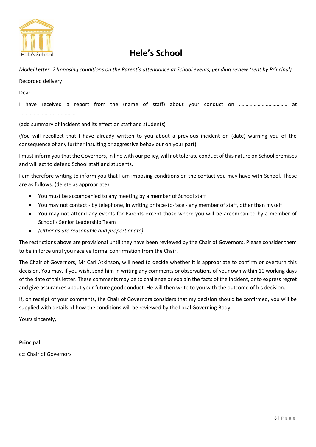

*Model Letter: 2 Imposing conditions on the Parent's attendance at School events, pending review (sent by Principal)* 

### Recorded delivery

Dear

I have received a report from the (name of staff) about your conduct on ……………………………… at ……………………………………

(add summary of incident and its effect on staff and students)

(You will recollect that I have already written to you about a previous incident on (date) warning you of the consequence of any further insulting or aggressive behaviour on your part)

I must inform you that the Governors, in line with our policy, will not tolerate conduct of this nature on School premises and will act to defend School staff and students.

I am therefore writing to inform you that I am imposing conditions on the contact you may have with School. These are as follows: (delete as appropriate)

- You must be accompanied to any meeting by a member of School staff
- You may not contact by telephone, in writing or face-to-face any member of staff, other than myself
- You may not attend any events for Parents except those where you will be accompanied by a member of School's Senior Leadership Team
- *(Other as are reasonable and proportionate).*

The restrictions above are provisional until they have been reviewed by the Chair of Governors. Please consider them to be in force until you receive formal confirmation from the Chair.

The Chair of Governors, Mr Carl Atkinson, will need to decide whether it is appropriate to confirm or overturn this decision. You may, if you wish, send him in writing any comments or observations of your own within 10 working days of the date of this letter. These comments may be to challenge or explain the facts of the incident, or to express regret and give assurances about your future good conduct. He will then write to you with the outcome of his decision.

If, on receipt of your comments, the Chair of Governors considers that my decision should be confirmed, you will be supplied with details of how the conditions will be reviewed by the Local Governing Body.

Yours sincerely,

### **Principal**

cc: Chair of Governors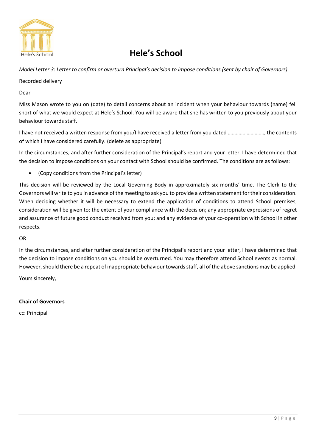

*Model Letter 3: Letter to confirm or overturn Principal's decision to impose conditions (sent by chair of Governors)* 

Recorded delivery

Dear

Miss Mason wrote to you on (date) to detail concerns about an incident when your behaviour towards (name) fell short of what we would expect at Hele's School. You will be aware that she has written to you previously about your behaviour towards staff.

I have not received a written response from you/I have received a letter from you dated ………………………, the contents of which I have considered carefully. (delete as appropriate)

In the circumstances, and after further consideration of the Principal's report and your letter, I have determined that the decision to impose conditions on your contact with School should be confirmed. The conditions are as follows:

• (Copy conditions from the Principal's letter)

This decision will be reviewed by the Local Governing Body in approximately six months' time. The Clerk to the Governors will write to you in advance of the meeting to ask you to provide a written statement for their consideration. When deciding whether it will be necessary to extend the application of conditions to attend School premises, consideration will be given to: the extent of your compliance with the decision; any appropriate expressions of regret and assurance of future good conduct received from you; and any evidence of your co-operation with School in other respects.

### OR

In the circumstances, and after further consideration of the Principal's report and your letter, I have determined that the decision to impose conditions on you should be overturned. You may therefore attend School events as normal. However, should there be a repeat of inappropriate behaviour towards staff, all of the above sanctions may be applied.

Yours sincerely,

### **Chair of Governors**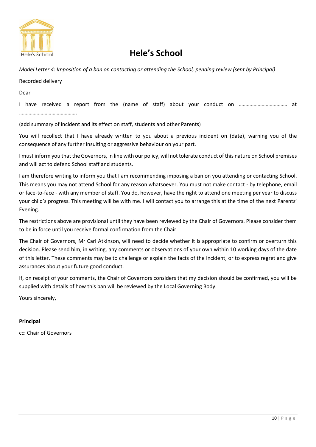

*Model Letter 4: Imposition of a ban on contacting or attending the School, pending review (sent by Principal)* 

Recorded delivery

Dear

I have received a report from the (name of staff) about your conduct on ……………………………… at …………………………………….

(add summary of incident and its effect on staff, students and other Parents)

You will recollect that I have already written to you about a previous incident on (date), warning you of the consequence of any further insulting or aggressive behaviour on your part.

I must inform you that the Governors, in line with our policy, will not tolerate conduct of this nature on School premises and will act to defend School staff and students.

I am therefore writing to inform you that I am recommending imposing a ban on you attending or contacting School. This means you may not attend School for any reason whatsoever. You must not make contact - by telephone, email or face-to-face - with any member of staff. You do, however, have the right to attend one meeting per year to discuss your child's progress. This meeting will be with me. I will contact you to arrange this at the time of the next Parents' Evening.

The restrictions above are provisional until they have been reviewed by the Chair of Governors. Please consider them to be in force until you receive formal confirmation from the Chair.

The Chair of Governors, Mr Carl Atkinson, will need to decide whether it is appropriate to confirm or overturn this decision. Please send him, in writing, any comments or observations of your own within 10 working days of the date of this letter. These comments may be to challenge or explain the facts of the incident, or to express regret and give assurances about your future good conduct.

If, on receipt of your comments, the Chair of Governors considers that my decision should be confirmed, you will be supplied with details of how this ban will be reviewed by the Local Governing Body.

Yours sincerely,

### **Principal**

cc: Chair of Governors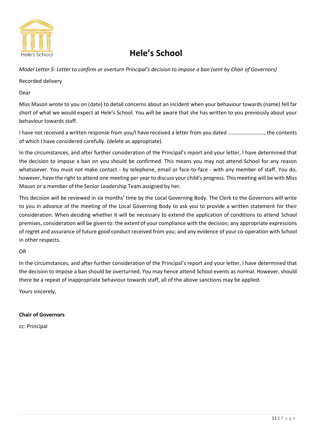

*Model Letter 5: Letter to confirm or overturn Principal's decision to impose a ban (sent by Chair of Governors)* 

### Recorded delivery

Dear

Miss Mason wrote to you on (date) to detail concerns about an incident when your behaviour towards (name) fell far short of what we would expect at Hele's School. You will be aware that she has written to you previously about your behaviour towards staff.

I have not received a written response from you/I have received a letter from you dated ………………………, the contents of which I have considered carefully. (delete as appropriate).

In the circumstances, and after further consideration of the Principal's report and your letter, I have determined that the decision to impose a ban on you should be confirmed. This means you may not attend School for any reason whatsoever. You must not make contact - by telephone, email or face-to-face - with any member of staff. You do, however, have the right to attend one meeting per year to discuss your child's progress. This meeting will be with Miss Mason or a member of the Senior Leadership Team assigned by her.

This decision will be reviewed in six months' time by the Local Governing Body. The Clerk to the Governors will write to you in advance of the meeting of the Local Governing Body to ask you to provide a written statement for their consideration. When deciding whether it will be necessary to extend the application of conditions to attend School premises, consideration will be given to: the extent of your compliance with the decision; any appropriate expressions of regret and assurance of future good conduct received from you; and any evidence of your co-operation with School in other respects.

### OR

In the circumstances, and after further consideration of the Principal's report and your letter, I have determined that the decision to impose a ban should be overturned. You may hence attend School events as normal. However, should there be a repeat of inappropriate behaviour towards staff, all of the above sanctions may be applied.

Yours sincerely,

### **Chair of Governors**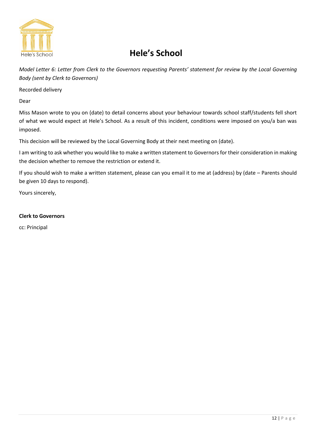

*Model Letter 6: Letter from Clerk to the Governors requesting Parents' statement for review by the Local Governing Body (sent by Clerk to Governors)* 

Recorded delivery

Dear

Miss Mason wrote to you on (date) to detail concerns about your behaviour towards school staff/students fell short of what we would expect at Hele's School. As a result of this incident, conditions were imposed on you/a ban was imposed.

This decision will be reviewed by the Local Governing Body at their next meeting on (date).

I am writing to ask whether you would like to make a written statement to Governors for their consideration in making the decision whether to remove the restriction or extend it.

If you should wish to make a written statement, please can you email it to me at (address) by (date – Parents should be given 10 days to respond).

Yours sincerely,

### **Clerk to Governors**